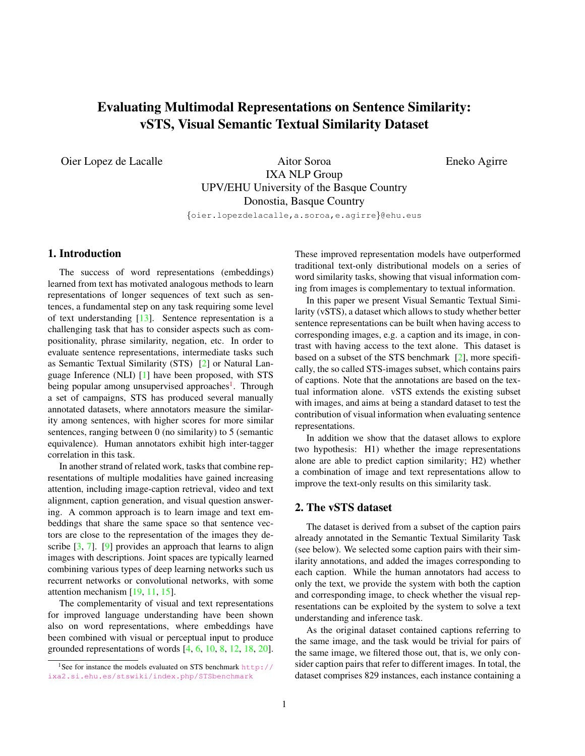# <span id="page-0-1"></span>Evaluating Multimodal Representations on Sentence Similarity: vSTS, Visual Semantic Textual Similarity Dataset

Oier Lopez de Lacalle Aitor Soroa IXA NLP Group UPV/EHU University of the Basque Country Donostia, Basque Country

Eneko Agirre

{oier.lopezdelacalle,a.soroa,e.agirre}@ehu.eus

## 1. Introduction

The success of word representations (embeddings) learned from text has motivated analogous methods to learn representations of longer sequences of text such as sentences, a fundamental step on any task requiring some level of text understanding [\[13\]](#page-2-0). Sentence representation is a challenging task that has to consider aspects such as compositionality, phrase similarity, negation, etc. In order to evaluate sentence representations, intermediate tasks such as Semantic Textual Similarity (STS) [\[2\]](#page-2-1) or Natural Language Inference (NLI) [\[1\]](#page-2-2) have been proposed, with STS being popular among unsupervised approaches<sup>[1](#page-0-0)</sup>. Through a set of campaigns, STS has produced several manually annotated datasets, where annotators measure the similarity among sentences, with higher scores for more similar sentences, ranging between 0 (no similarity) to 5 (semantic equivalence). Human annotators exhibit high inter-tagger correlation in this task.

In another strand of related work, tasks that combine representations of multiple modalities have gained increasing attention, including image-caption retrieval, video and text alignment, caption generation, and visual question answering. A common approach is to learn image and text embeddings that share the same space so that sentence vectors are close to the representation of the images they describe  $\lceil 3, 7 \rceil$ .  $\lceil 9 \rceil$  provides an approach that learns to align images with descriptions. Joint spaces are typically learned combining various types of deep learning networks such us recurrent networks or convolutional networks, with some attention mechanism [\[19,](#page-2-6) [11,](#page-2-7) [15\]](#page-2-8).

The complementarity of visual and text representations for improved language understanding have been shown also on word representations, where embeddings have been combined with visual or perceptual input to produce grounded representations of words [\[4,](#page-2-9) [6,](#page-2-10) [10,](#page-2-11) [8,](#page-2-12) [12,](#page-2-13) [18,](#page-2-14) [20\]](#page-2-15).

These improved representation models have outperformed traditional text-only distributional models on a series of word similarity tasks, showing that visual information coming from images is complementary to textual information.

In this paper we present Visual Semantic Textual Similarity (vSTS), a dataset which allows to study whether better sentence representations can be built when having access to corresponding images, e.g. a caption and its image, in contrast with having access to the text alone. This dataset is based on a subset of the STS benchmark [\[2\]](#page-2-1), more specifically, the so called STS-images subset, which contains pairs of captions. Note that the annotations are based on the textual information alone. vSTS extends the existing subset with images, and aims at being a standard dataset to test the contribution of visual information when evaluating sentence representations.

In addition we show that the dataset allows to explore two hypothesis: H1) whether the image representations alone are able to predict caption similarity; H2) whether a combination of image and text representations allow to improve the text-only results on this similarity task.

### 2. The vSTS dataset

The dataset is derived from a subset of the caption pairs already annotated in the Semantic Textual Similarity Task (see below). We selected some caption pairs with their similarity annotations, and added the images corresponding to each caption. While the human annotators had access to only the text, we provide the system with both the caption and corresponding image, to check whether the visual representations can be exploited by the system to solve a text understanding and inference task.

As the original dataset contained captions referring to the same image, and the task would be trivial for pairs of the same image, we filtered those out, that is, we only consider caption pairs that refer to different images. In total, the dataset comprises 829 instances, each instance containing a

<span id="page-0-0"></span><sup>&</sup>lt;sup>1</sup>See for instance the models evaluated on STS benchmark [http://](http://ixa2.si.ehu.es/stswiki/index.php/STSbenchmark) [ixa2.si.ehu.es/stswiki/index.php/STSbenchmark](http://ixa2.si.ehu.es/stswiki/index.php/STSbenchmark)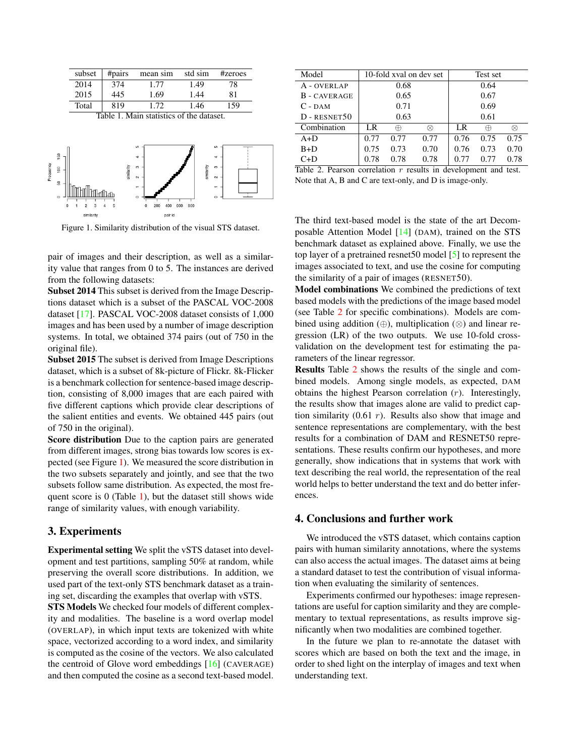<span id="page-1-3"></span>

| subset | #pairs | mean sim | std sim | #zeroes |
|--------|--------|----------|---------|---------|
| 2014   | 374    | 1.77     | 1.49    | 78      |
| 2015   | 445    | 1.69     | 1.44    | 81      |
| Total  | 819    | 1.72     | 1.46    | 159     |

<span id="page-1-1"></span>Table 1. Main statistics of the dataset.



<span id="page-1-0"></span>Figure 1. Similarity distribution of the visual STS dataset.

pair of images and their description, as well as a similarity value that ranges from 0 to 5. The instances are derived from the following datasets:

Subset 2014 This subset is derived from the Image Descriptions dataset which is a subset of the PASCAL VOC-2008 dataset [\[17\]](#page-2-16). PASCAL VOC-2008 dataset consists of 1,000 images and has been used by a number of image description systems. In total, we obtained 374 pairs (out of 750 in the original file).

Subset 2015 The subset is derived from Image Descriptions dataset, which is a subset of 8k-picture of Flickr. 8k-Flicker is a benchmark collection for sentence-based image description, consisting of 8,000 images that are each paired with five different captions which provide clear descriptions of the salient entities and events. We obtained 445 pairs (out of 750 in the original).

Score distribution Due to the caption pairs are generated from different images, strong bias towards low scores is expected (see Figure [1\)](#page-1-0). We measured the score distribution in the two subsets separately and jointly, and see that the two subsets follow same distribution. As expected, the most frequent score is 0 (Table [1\)](#page-1-1), but the dataset still shows wide range of similarity values, with enough variability.

### 3. Experiments

Experimental setting We split the vSTS dataset into development and test partitions, sampling 50% at random, while preserving the overall score distributions. In addition, we used part of the text-only STS benchmark dataset as a training set, discarding the examples that overlap with vSTS.

STS Models We checked four models of different complexity and modalities. The baseline is a word overlap model (OVERLAP), in which input texts are tokenized with white space, vectorized according to a word index, and similarity is computed as the cosine of the vectors. We also calculated the centroid of Glove word embeddings  $[16]$  (CAVERAGE) and then computed the cosine as a second text-based model.

| Model                                                                                                                                                                                                                                                                                                                                                                                                                                                                  |      |      | 10-fold xval on dev set | Test set |      |      |  |
|------------------------------------------------------------------------------------------------------------------------------------------------------------------------------------------------------------------------------------------------------------------------------------------------------------------------------------------------------------------------------------------------------------------------------------------------------------------------|------|------|-------------------------|----------|------|------|--|
| A - OVERLAP                                                                                                                                                                                                                                                                                                                                                                                                                                                            |      | 0.68 |                         | 0.64     |      |      |  |
| <b>B</b> - CAVERAGE                                                                                                                                                                                                                                                                                                                                                                                                                                                    |      | 0.65 |                         | 0.67     |      |      |  |
| $C$ - DAM                                                                                                                                                                                                                                                                                                                                                                                                                                                              | 0.71 |      |                         | 0.69     |      |      |  |
| D - RESNET50                                                                                                                                                                                                                                                                                                                                                                                                                                                           | 0.63 |      |                         | 0.61     |      |      |  |
| Combination                                                                                                                                                                                                                                                                                                                                                                                                                                                            | LR   | H)   | ∞                       | LR       | ⊕    |      |  |
| $A+D$                                                                                                                                                                                                                                                                                                                                                                                                                                                                  | 0.77 | 0.77 | 0.77                    | 0.76     | 0.75 | 0.75 |  |
| $B+D$                                                                                                                                                                                                                                                                                                                                                                                                                                                                  | 0.75 | 0.73 | 0.70                    | 0.76     | 0.73 | 0.70 |  |
| $C+D$                                                                                                                                                                                                                                                                                                                                                                                                                                                                  | 0.78 | 0.78 | 0.78                    | 0.77     | 0.77 | 0.78 |  |
| $\mathbf{1}$ , $\mathbf{1}$ , $\mathbf{1}$ , $\mathbf{1}$ , $\mathbf{1}$ , $\mathbf{1}$ , $\mathbf{1}$ , $\mathbf{1}$ , $\mathbf{1}$ , $\mathbf{1}$ , $\mathbf{1}$ , $\mathbf{1}$ , $\mathbf{1}$ , $\mathbf{1}$ , $\mathbf{1}$ , $\mathbf{1}$ , $\mathbf{1}$ , $\mathbf{1}$ , $\mathbf{1}$ , $\mathbf{1}$ , $\mathbf{1}$ , $\mathbf{1}$ ,<br>T1120T<br>the contract of the contract of the contract of the contract of the contract of the contract of the contract of |      |      |                         |          |      |      |  |

<span id="page-1-2"></span>

|  |  |  |  | Table 2. Pearson correlation $r$ results in development and test. |  |
|--|--|--|--|-------------------------------------------------------------------|--|
|  |  |  |  | Note that A, B and C are text-only, and D is image-only.          |  |

The third text-based model is the state of the art Decomposable Attention Model [\[14\]](#page-2-18) (DAM), trained on the STS benchmark dataset as explained above. Finally, we use the top layer of a pretrained resnet50 model [\[5\]](#page-2-19) to represent the images associated to text, and use the cosine for computing the similarity of a pair of images (RESNET50).

Model combinations We combined the predictions of text based models with the predictions of the image based model (see Table [2](#page-1-2) for specific combinations). Models are combined using addition  $(\oplus)$ , multiplication  $(\otimes)$  and linear regression (LR) of the two outputs. We use 10-fold crossvalidation on the development test for estimating the parameters of the linear regressor.

Results Table [2](#page-1-2) shows the results of the single and combined models. Among single models, as expected, DAM obtains the highest Pearson correlation (r). Interestingly, the results show that images alone are valid to predict caption similarity  $(0.61 r)$ . Results also show that image and sentence representations are complementary, with the best results for a combination of DAM and RESNET50 representations. These results confirm our hypotheses, and more generally, show indications that in systems that work with text describing the real world, the representation of the real world helps to better understand the text and do better inferences.

### 4. Conclusions and further work

We introduced the vSTS dataset, which contains caption pairs with human similarity annotations, where the systems can also access the actual images. The dataset aims at being a standard dataset to test the contribution of visual information when evaluating the similarity of sentences.

Experiments confirmed our hypotheses: image representations are useful for caption similarity and they are complementary to textual representations, as results improve significantly when two modalities are combined together.

In the future we plan to re-annotate the dataset with scores which are based on both the text and the image, in order to shed light on the interplay of images and text when understanding text.